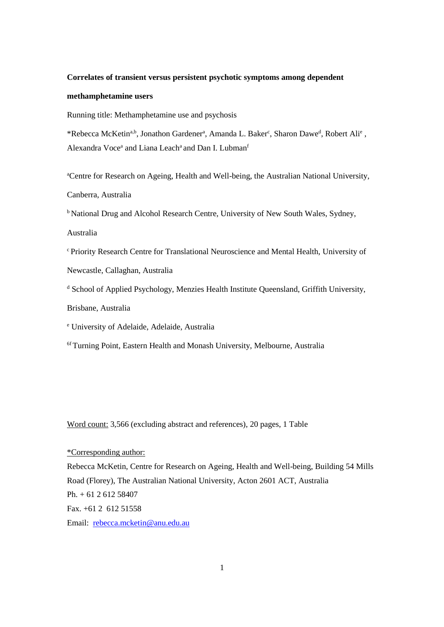## **Correlates of transient versus persistent psychotic symptoms among dependent**

## **methamphetamine users**

Running title: Methamphetamine use and psychosis

\*Rebecca McKetin<sup>a,b</sup>, Jonathon Gardener<sup>a</sup>, Amanda L. Baker<sup>c</sup>, Sharon Dawe<sup>d</sup>, Robert Ali<sup>e</sup>, Alexandra Voce<sup>a</sup> and Liana Leach<sup>a</sup> and Dan I. Lubman<sup>f</sup>

<sup>a</sup>Centre for Research on Ageing, Health and Well-being, the Australian National University,

Canberra, Australia

**b National Drug and Alcohol Research Centre, University of New South Wales, Sydney,** 

Australia

<sup>c</sup> Priority Research Centre for Translational Neuroscience and Mental Health, University of

Newcastle, Callaghan, Australia

<sup>d</sup> School of Applied Psychology, Menzies Health Institute Queensland, Griffith University,

Brisbane, Australia

<sup>e</sup> University of Adelaide, Adelaide, Australia

<sup>6f</sup> Turning Point, Eastern Health and Monash University, Melbourne, Australia

Word count: 3,566 (excluding abstract and references), 20 pages, 1 Table

\*Corresponding author:

Rebecca McKetin, Centre for Research on Ageing, Health and Well-being, Building 54 Mills Road (Florey), The Australian National University, Acton 2601 ACT, Australia Ph. + 61 2 612 58407 Fax. +61 2 612 51558 Email: [rebecca.mcketin@anu.edu.au](mailto:rebecca.mcketin@anu.edu.au)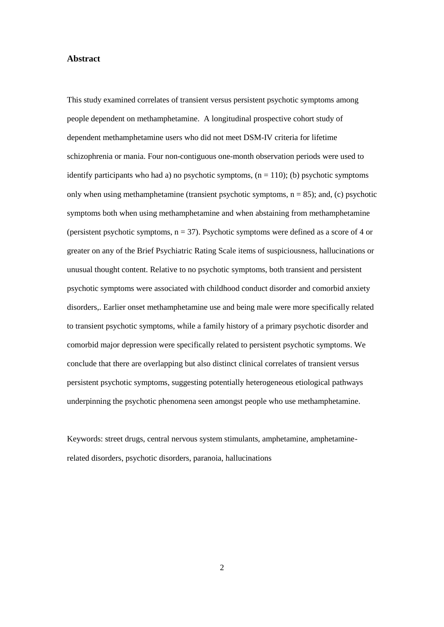# **Abstract**

This study examined correlates of transient versus persistent psychotic symptoms among people dependent on methamphetamine. A longitudinal prospective cohort study of dependent methamphetamine users who did not meet DSM-IV criteria for lifetime schizophrenia or mania. Four non-contiguous one-month observation periods were used to identify participants who had a) no psychotic symptoms,  $(n = 110)$ ; (b) psychotic symptoms only when using methamphetamine (transient psychotic symptoms,  $n = 85$ ); and, (c) psychotic symptoms both when using methamphetamine and when abstaining from methamphetamine (persistent psychotic symptoms,  $n = 37$ ). Psychotic symptoms were defined as a score of 4 or greater on any of the Brief Psychiatric Rating Scale items of suspiciousness, hallucinations or unusual thought content. Relative to no psychotic symptoms, both transient and persistent psychotic symptoms were associated with childhood conduct disorder and comorbid anxiety disorders,. Earlier onset methamphetamine use and being male were more specifically related to transient psychotic symptoms, while a family history of a primary psychotic disorder and comorbid major depression were specifically related to persistent psychotic symptoms. We conclude that there are overlapping but also distinct clinical correlates of transient versus persistent psychotic symptoms, suggesting potentially heterogeneous etiological pathways underpinning the psychotic phenomena seen amongst people who use methamphetamine.

Keywords: street drugs, central nervous system stimulants, amphetamine, amphetaminerelated disorders, psychotic disorders, paranoia, hallucinations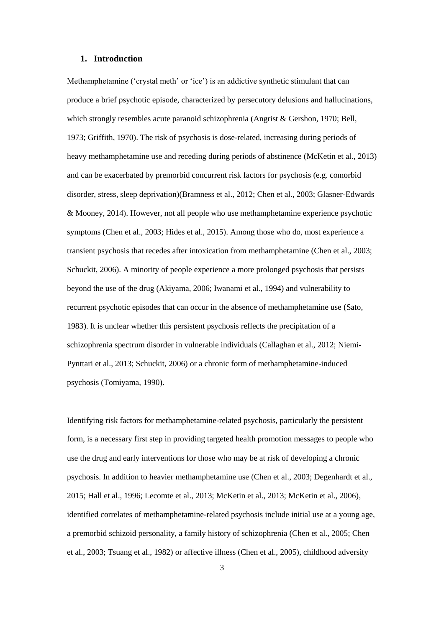## **1. Introduction**

Methamphetamine ('crystal meth' or 'ice') is an addictive synthetic stimulant that can produce a brief psychotic episode, characterized by persecutory delusions and hallucinations, which strongly resembles acute paranoid schizophrenia (Angrist & Gershon, 1970; Bell, 1973; Griffith, 1970). The risk of psychosis is dose-related, increasing during periods of heavy methamphetamine use and receding during periods of abstinence (McKetin et al., 2013) and can be exacerbated by premorbid concurrent risk factors for psychosis (e.g. comorbid disorder, stress, sleep deprivation)(Bramness et al., 2012; Chen et al., 2003; Glasner-Edwards & Mooney, 2014). However, not all people who use methamphetamine experience psychotic symptoms (Chen et al., 2003; Hides et al., 2015). Among those who do, most experience a transient psychosis that recedes after intoxication from methamphetamine (Chen et al., 2003; Schuckit, 2006). A minority of people experience a more prolonged psychosis that persists beyond the use of the drug (Akiyama, 2006; Iwanami et al., 1994) and vulnerability to recurrent psychotic episodes that can occur in the absence of methamphetamine use (Sato, 1983). It is unclear whether this persistent psychosis reflects the precipitation of a schizophrenia spectrum disorder in vulnerable individuals (Callaghan et al., 2012; Niemi-Pynttari et al., 2013; Schuckit, 2006) or a chronic form of methamphetamine-induced psychosis (Tomiyama, 1990).

Identifying risk factors for methamphetamine-related psychosis, particularly the persistent form, is a necessary first step in providing targeted health promotion messages to people who use the drug and early interventions for those who may be at risk of developing a chronic psychosis. In addition to heavier methamphetamine use (Chen et al., 2003; Degenhardt et al., 2015; Hall et al., 1996; Lecomte et al., 2013; McKetin et al., 2013; McKetin et al., 2006), identified correlates of methamphetamine-related psychosis include initial use at a young age, a premorbid schizoid personality, a family history of schizophrenia (Chen et al., 2005; Chen et al., 2003; Tsuang et al., 1982) or affective illness (Chen et al., 2005), childhood adversity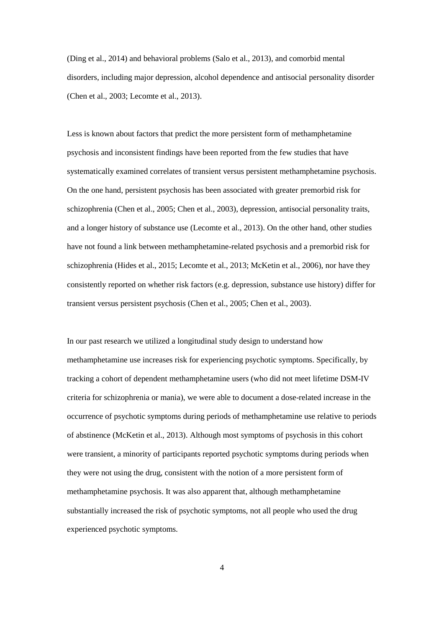(Ding et al., 2014) and behavioral problems (Salo et al., 2013), and comorbid mental disorders, including major depression, alcohol dependence and antisocial personality disorder (Chen et al., 2003; Lecomte et al., 2013).

Less is known about factors that predict the more persistent form of methamphetamine psychosis and inconsistent findings have been reported from the few studies that have systematically examined correlates of transient versus persistent methamphetamine psychosis. On the one hand, persistent psychosis has been associated with greater premorbid risk for schizophrenia (Chen et al., 2005; Chen et al., 2003), depression, antisocial personality traits, and a longer history of substance use (Lecomte et al., 2013). On the other hand, other studies have not found a link between methamphetamine-related psychosis and a premorbid risk for schizophrenia (Hides et al., 2015; Lecomte et al., 2013; McKetin et al., 2006), nor have they consistently reported on whether risk factors (e.g. depression, substance use history) differ for transient versus persistent psychosis (Chen et al., 2005; Chen et al., 2003).

In our past research we utilized a longitudinal study design to understand how methamphetamine use increases risk for experiencing psychotic symptoms. Specifically, by tracking a cohort of dependent methamphetamine users (who did not meet lifetime DSM-IV criteria for schizophrenia or mania), we were able to document a dose-related increase in the occurrence of psychotic symptoms during periods of methamphetamine use relative to periods of abstinence (McKetin et al., 2013). Although most symptoms of psychosis in this cohort were transient, a minority of participants reported psychotic symptoms during periods when they were not using the drug, consistent with the notion of a more persistent form of methamphetamine psychosis. It was also apparent that, although methamphetamine substantially increased the risk of psychotic symptoms, not all people who used the drug experienced psychotic symptoms.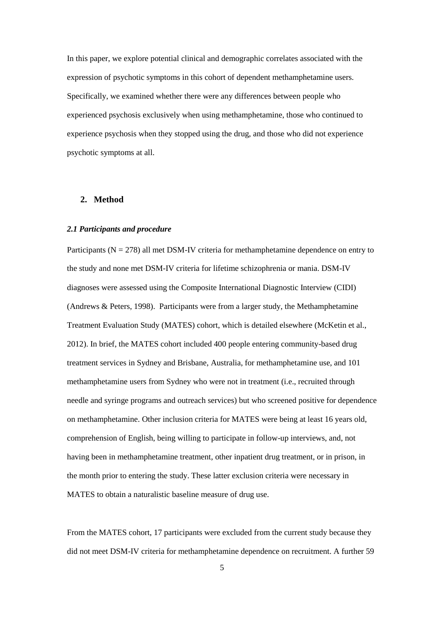In this paper, we explore potential clinical and demographic correlates associated with the expression of psychotic symptoms in this cohort of dependent methamphetamine users. Specifically, we examined whether there were any differences between people who experienced psychosis exclusively when using methamphetamine, those who continued to experience psychosis when they stopped using the drug, and those who did not experience psychotic symptoms at all.

# **2. Method**

#### *2.1 Participants and procedure*

Participants ( $N = 278$ ) all met DSM-IV criteria for methamphetamine dependence on entry to the study and none met DSM-IV criteria for lifetime schizophrenia or mania. DSM-IV diagnoses were assessed using the Composite International Diagnostic Interview (CIDI) (Andrews & Peters, 1998). Participants were from a larger study, the Methamphetamine Treatment Evaluation Study (MATES) cohort, which is detailed elsewhere (McKetin et al., 2012). In brief, the MATES cohort included 400 people entering community-based drug treatment services in Sydney and Brisbane, Australia, for methamphetamine use, and 101 methamphetamine users from Sydney who were not in treatment (i.e., recruited through needle and syringe programs and outreach services) but who screened positive for dependence on methamphetamine. Other inclusion criteria for MATES were being at least 16 years old, comprehension of English, being willing to participate in follow-up interviews, and, not having been in methamphetamine treatment, other inpatient drug treatment, or in prison, in the month prior to entering the study. These latter exclusion criteria were necessary in MATES to obtain a naturalistic baseline measure of drug use.

From the MATES cohort, 17 participants were excluded from the current study because they did not meet DSM-IV criteria for methamphetamine dependence on recruitment. A further 59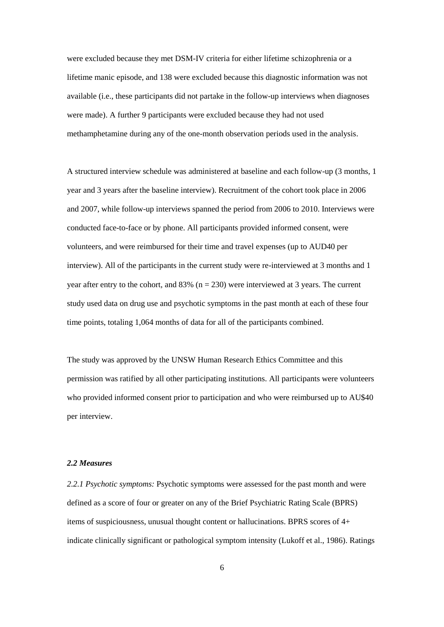were excluded because they met DSM-IV criteria for either lifetime schizophrenia or a lifetime manic episode, and 138 were excluded because this diagnostic information was not available (i.e., these participants did not partake in the follow-up interviews when diagnoses were made). A further 9 participants were excluded because they had not used methamphetamine during any of the one-month observation periods used in the analysis.

A structured interview schedule was administered at baseline and each follow-up (3 months, 1 year and 3 years after the baseline interview). Recruitment of the cohort took place in 2006 and 2007, while follow-up interviews spanned the period from 2006 to 2010. Interviews were conducted face-to-face or by phone. All participants provided informed consent, were volunteers, and were reimbursed for their time and travel expenses (up to AUD40 per interview). All of the participants in the current study were re-interviewed at 3 months and 1 year after entry to the cohort, and 83% ( $n = 230$ ) were interviewed at 3 years. The current study used data on drug use and psychotic symptoms in the past month at each of these four time points, totaling 1,064 months of data for all of the participants combined.

The study was approved by the UNSW Human Research Ethics Committee and this permission was ratified by all other participating institutions. All participants were volunteers who provided informed consent prior to participation and who were reimbursed up to AU\$40 per interview.

#### *2.2 Measures*

*2.2.1 Psychotic symptoms:* Psychotic symptoms were assessed for the past month and were defined as a score of four or greater on any of the Brief Psychiatric Rating Scale (BPRS) items of suspiciousness, unusual thought content or hallucinations. BPRS scores of 4+ indicate clinically significant or pathological symptom intensity (Lukoff et al., 1986). Ratings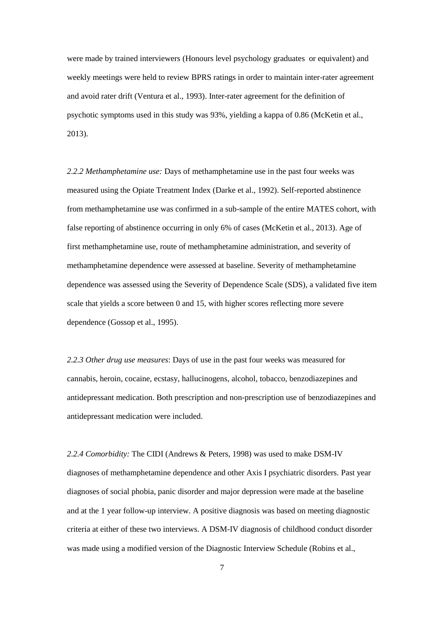were made by trained interviewers (Honours level psychology graduates or equivalent) and weekly meetings were held to review BPRS ratings in order to maintain inter-rater agreement and avoid rater drift (Ventura et al., 1993). Inter-rater agreement for the definition of psychotic symptoms used in this study was 93%, yielding a kappa of 0.86 (McKetin et al., 2013).

*2.2.2 Methamphetamine use:* Days of methamphetamine use in the past four weeks was measured using the Opiate Treatment Index (Darke et al., 1992). Self-reported abstinence from methamphetamine use was confirmed in a sub-sample of the entire MATES cohort, with false reporting of abstinence occurring in only 6% of cases (McKetin et al., 2013). Age of first methamphetamine use, route of methamphetamine administration, and severity of methamphetamine dependence were assessed at baseline. Severity of methamphetamine dependence was assessed using the Severity of Dependence Scale (SDS), a validated five item scale that yields a score between 0 and 15, with higher scores reflecting more severe dependence (Gossop et al., 1995).

*2.2.3 Other drug use measures*: Days of use in the past four weeks was measured for cannabis, heroin, cocaine, ecstasy, hallucinogens, alcohol, tobacco, benzodiazepines and antidepressant medication. Both prescription and non-prescription use of benzodiazepines and antidepressant medication were included.

*2.2.4 Comorbidity:* The CIDI (Andrews & Peters, 1998) was used to make DSM-IV diagnoses of methamphetamine dependence and other Axis I psychiatric disorders. Past year diagnoses of social phobia, panic disorder and major depression were made at the baseline and at the 1 year follow-up interview. A positive diagnosis was based on meeting diagnostic criteria at either of these two interviews. A DSM-IV diagnosis of childhood conduct disorder was made using a modified version of the Diagnostic Interview Schedule (Robins et al.,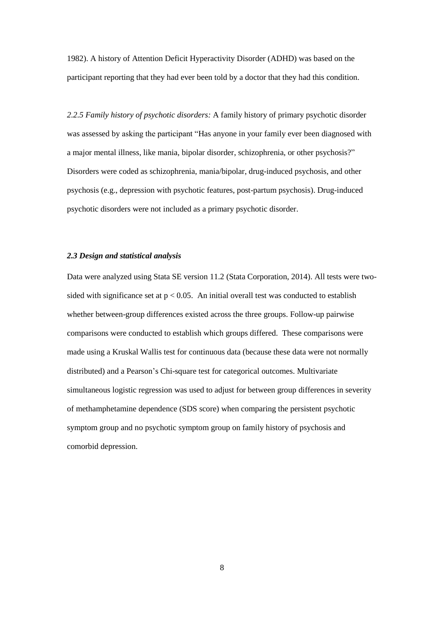1982). A history of Attention Deficit Hyperactivity Disorder (ADHD) was based on the participant reporting that they had ever been told by a doctor that they had this condition.

*2.2.5 Family history of psychotic disorders:* A family history of primary psychotic disorder was assessed by asking the participant "Has anyone in your family ever been diagnosed with a major mental illness, like mania, bipolar disorder, schizophrenia, or other psychosis?" Disorders were coded as schizophrenia, mania/bipolar, drug-induced psychosis, and other psychosis (e.g., depression with psychotic features, post-partum psychosis). Drug-induced psychotic disorders were not included as a primary psychotic disorder.

## *2.3 Design and statistical analysis*

Data were analyzed using Stata SE version 11.2 (Stata Corporation, 2014). All tests were twosided with significance set at  $p < 0.05$ . An initial overall test was conducted to establish whether between-group differences existed across the three groups. Follow-up pairwise comparisons were conducted to establish which groups differed. These comparisons were made using a Kruskal Wallis test for continuous data (because these data were not normally distributed) and a Pearson's Chi-square test for categorical outcomes. Multivariate simultaneous logistic regression was used to adjust for between group differences in severity of methamphetamine dependence (SDS score) when comparing the persistent psychotic symptom group and no psychotic symptom group on family history of psychosis and comorbid depression.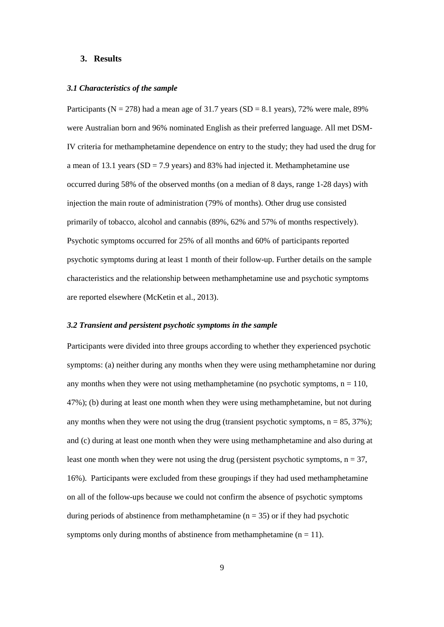#### **3. Results**

#### *3.1 Characteristics of the sample*

Participants ( $N = 278$ ) had a mean age of 31.7 years ( $SD = 8.1$  years), 72% were male, 89% were Australian born and 96% nominated English as their preferred language. All met DSM-IV criteria for methamphetamine dependence on entry to the study; they had used the drug for a mean of 13.1 years ( $SD = 7.9$  years) and 83% had injected it. Methamphetamine use occurred during 58% of the observed months (on a median of 8 days, range 1-28 days) with injection the main route of administration (79% of months). Other drug use consisted primarily of tobacco, alcohol and cannabis (89%, 62% and 57% of months respectively). Psychotic symptoms occurred for 25% of all months and 60% of participants reported psychotic symptoms during at least 1 month of their follow-up. Further details on the sample characteristics and the relationship between methamphetamine use and psychotic symptoms are reported elsewhere (McKetin et al., 2013).

#### *3.2 Transient and persistent psychotic symptoms in the sample*

Participants were divided into three groups according to whether they experienced psychotic symptoms: (a) neither during any months when they were using methamphetamine nor during any months when they were not using methamphetamine (no psychotic symptoms,  $n = 110$ , 47%); (b) during at least one month when they were using methamphetamine, but not during any months when they were not using the drug (transient psychotic symptoms,  $n = 85, 37\%$ ); and (c) during at least one month when they were using methamphetamine and also during at least one month when they were not using the drug (persistent psychotic symptoms,  $n = 37$ , 16%). Participants were excluded from these groupings if they had used methamphetamine on all of the follow-ups because we could not confirm the absence of psychotic symptoms during periods of abstinence from methamphetamine ( $n = 35$ ) or if they had psychotic symptoms only during months of abstinence from methamphetamine  $(n = 11)$ .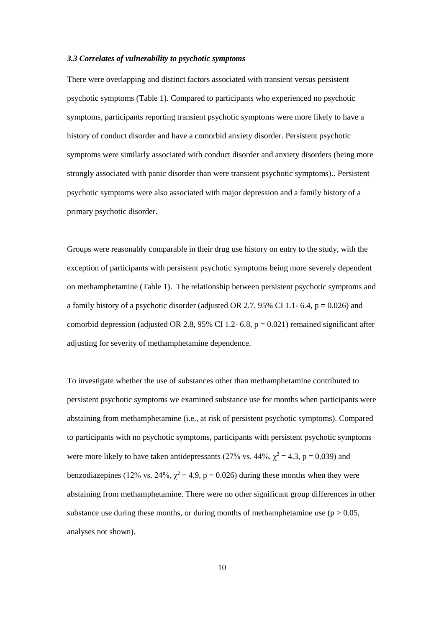#### *3.3 Correlates of vulnerability to psychotic symptoms*

There were overlapping and distinct factors associated with transient versus persistent psychotic symptoms (Table 1). Compared to participants who experienced no psychotic symptoms, participants reporting transient psychotic symptoms were more likely to have a history of conduct disorder and have a comorbid anxiety disorder. Persistent psychotic symptoms were similarly associated with conduct disorder and anxiety disorders (being more strongly associated with panic disorder than were transient psychotic symptoms).. Persistent psychotic symptoms were also associated with major depression and a family history of a primary psychotic disorder.

Groups were reasonably comparable in their drug use history on entry to the study, with the exception of participants with persistent psychotic symptoms being more severely dependent on methamphetamine (Table 1). The relationship between persistent psychotic symptoms and a family history of a psychotic disorder (adjusted OR 2.7, 95% CI 1.1- 6.4,  $p = 0.026$ ) and comorbid depression (adjusted OR 2.8, 95% CI 1.2- 6.8,  $p = 0.021$ ) remained significant after adjusting for severity of methamphetamine dependence.

To investigate whether the use of substances other than methamphetamine contributed to persistent psychotic symptoms we examined substance use for months when participants were abstaining from methamphetamine (i.e., at risk of persistent psychotic symptoms). Compared to participants with no psychotic symptoms, participants with persistent psychotic symptoms were more likely to have taken antidepressants (27% vs. 44%,  $\chi^2 = 4.3$ , p = 0.039) and benzodiazepines (12% vs. 24%,  $\chi^2$  = 4.9, p = 0.026) during these months when they were abstaining from methamphetamine. There were no other significant group differences in other substance use during these months, or during months of methamphetamine use  $(p > 0.05$ , analyses not shown).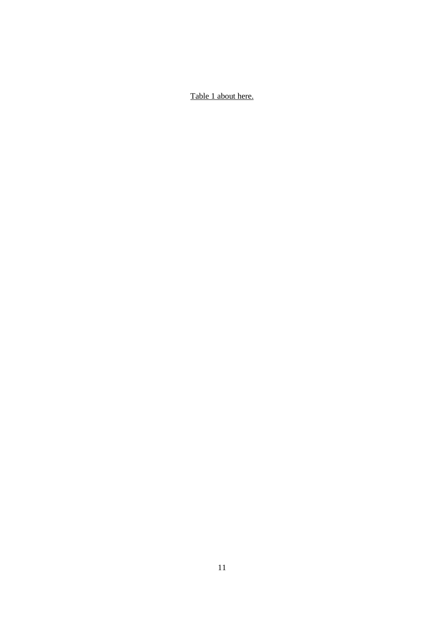Table 1 about here.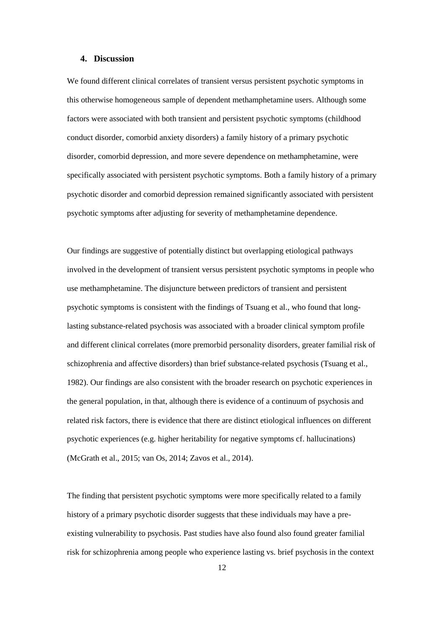## **4. Discussion**

We found different clinical correlates of transient versus persistent psychotic symptoms in this otherwise homogeneous sample of dependent methamphetamine users. Although some factors were associated with both transient and persistent psychotic symptoms (childhood conduct disorder, comorbid anxiety disorders) a family history of a primary psychotic disorder, comorbid depression, and more severe dependence on methamphetamine, were specifically associated with persistent psychotic symptoms. Both a family history of a primary psychotic disorder and comorbid depression remained significantly associated with persistent psychotic symptoms after adjusting for severity of methamphetamine dependence.

Our findings are suggestive of potentially distinct but overlapping etiological pathways involved in the development of transient versus persistent psychotic symptoms in people who use methamphetamine. The disjuncture between predictors of transient and persistent psychotic symptoms is consistent with the findings of Tsuang et al., who found that longlasting substance-related psychosis was associated with a broader clinical symptom profile and different clinical correlates (more premorbid personality disorders, greater familial risk of schizophrenia and affective disorders) than brief substance-related psychosis (Tsuang et al., 1982). Our findings are also consistent with the broader research on psychotic experiences in the general population, in that, although there is evidence of a continuum of psychosis and related risk factors, there is evidence that there are distinct etiological influences on different psychotic experiences (e.g. higher heritability for negative symptoms cf. hallucinations) (McGrath et al., 2015; van Os, 2014; Zavos et al., 2014).

The finding that persistent psychotic symptoms were more specifically related to a family history of a primary psychotic disorder suggests that these individuals may have a preexisting vulnerability to psychosis. Past studies have also found also found greater familial risk for schizophrenia among people who experience lasting vs. brief psychosis in the context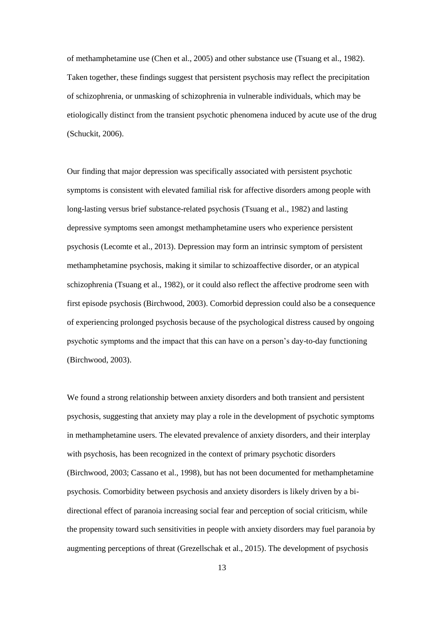of methamphetamine use (Chen et al., 2005) and other substance use (Tsuang et al., 1982). Taken together, these findings suggest that persistent psychosis may reflect the precipitation of schizophrenia, or unmasking of schizophrenia in vulnerable individuals, which may be etiologically distinct from the transient psychotic phenomena induced by acute use of the drug (Schuckit, 2006).

Our finding that major depression was specifically associated with persistent psychotic symptoms is consistent with elevated familial risk for affective disorders among people with long-lasting versus brief substance-related psychosis (Tsuang et al., 1982) and lasting depressive symptoms seen amongst methamphetamine users who experience persistent psychosis (Lecomte et al., 2013). Depression may form an intrinsic symptom of persistent methamphetamine psychosis, making it similar to schizoaffective disorder, or an atypical schizophrenia (Tsuang et al., 1982), or it could also reflect the affective prodrome seen with first episode psychosis (Birchwood, 2003). Comorbid depression could also be a consequence of experiencing prolonged psychosis because of the psychological distress caused by ongoing psychotic symptoms and the impact that this can have on a person's day-to-day functioning (Birchwood, 2003).

We found a strong relationship between anxiety disorders and both transient and persistent psychosis, suggesting that anxiety may play a role in the development of psychotic symptoms in methamphetamine users. The elevated prevalence of anxiety disorders, and their interplay with psychosis, has been recognized in the context of primary psychotic disorders (Birchwood, 2003; Cassano et al., 1998), but has not been documented for methamphetamine psychosis. Comorbidity between psychosis and anxiety disorders is likely driven by a bidirectional effect of paranoia increasing social fear and perception of social criticism, while the propensity toward such sensitivities in people with anxiety disorders may fuel paranoia by augmenting perceptions of threat (Grezellschak et al., 2015). The development of psychosis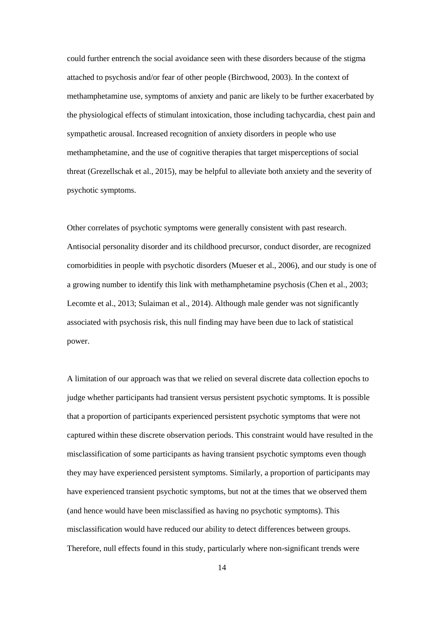could further entrench the social avoidance seen with these disorders because of the stigma attached to psychosis and/or fear of other people (Birchwood, 2003). In the context of methamphetamine use, symptoms of anxiety and panic are likely to be further exacerbated by the physiological effects of stimulant intoxication, those including tachycardia, chest pain and sympathetic arousal. Increased recognition of anxiety disorders in people who use methamphetamine, and the use of cognitive therapies that target misperceptions of social threat (Grezellschak et al., 2015), may be helpful to alleviate both anxiety and the severity of psychotic symptoms.

Other correlates of psychotic symptoms were generally consistent with past research. Antisocial personality disorder and its childhood precursor, conduct disorder, are recognized comorbidities in people with psychotic disorders (Mueser et al., 2006), and our study is one of a growing number to identify this link with methamphetamine psychosis (Chen et al., 2003; Lecomte et al., 2013; Sulaiman et al., 2014). Although male gender was not significantly associated with psychosis risk, this null finding may have been due to lack of statistical power.

A limitation of our approach was that we relied on several discrete data collection epochs to judge whether participants had transient versus persistent psychotic symptoms. It is possible that a proportion of participants experienced persistent psychotic symptoms that were not captured within these discrete observation periods. This constraint would have resulted in the misclassification of some participants as having transient psychotic symptoms even though they may have experienced persistent symptoms. Similarly, a proportion of participants may have experienced transient psychotic symptoms, but not at the times that we observed them (and hence would have been misclassified as having no psychotic symptoms). This misclassification would have reduced our ability to detect differences between groups. Therefore, null effects found in this study, particularly where non-significant trends were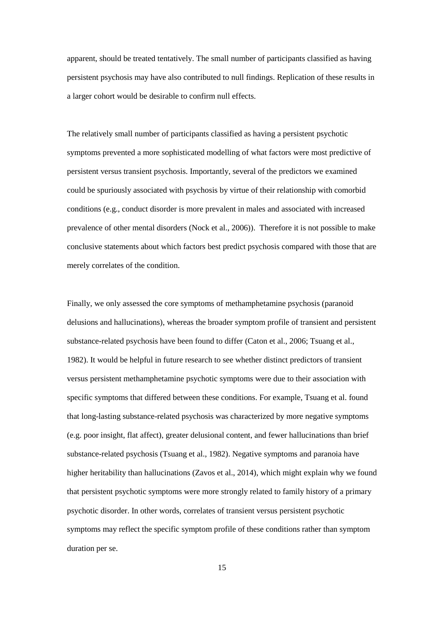apparent, should be treated tentatively. The small number of participants classified as having persistent psychosis may have also contributed to null findings. Replication of these results in a larger cohort would be desirable to confirm null effects.

The relatively small number of participants classified as having a persistent psychotic symptoms prevented a more sophisticated modelling of what factors were most predictive of persistent versus transient psychosis. Importantly, several of the predictors we examined could be spuriously associated with psychosis by virtue of their relationship with comorbid conditions (e.g., conduct disorder is more prevalent in males and associated with increased prevalence of other mental disorders (Nock et al., 2006)). Therefore it is not possible to make conclusive statements about which factors best predict psychosis compared with those that are merely correlates of the condition.

Finally, we only assessed the core symptoms of methamphetamine psychosis (paranoid delusions and hallucinations), whereas the broader symptom profile of transient and persistent substance-related psychosis have been found to differ (Caton et al., 2006; Tsuang et al., 1982). It would be helpful in future research to see whether distinct predictors of transient versus persistent methamphetamine psychotic symptoms were due to their association with specific symptoms that differed between these conditions. For example, Tsuang et al. found that long-lasting substance-related psychosis was characterized by more negative symptoms (e.g. poor insight, flat affect), greater delusional content, and fewer hallucinations than brief substance-related psychosis (Tsuang et al., 1982). Negative symptoms and paranoia have higher heritability than hallucinations (Zavos et al., 2014), which might explain why we found that persistent psychotic symptoms were more strongly related to family history of a primary psychotic disorder. In other words, correlates of transient versus persistent psychotic symptoms may reflect the specific symptom profile of these conditions rather than symptom duration per se.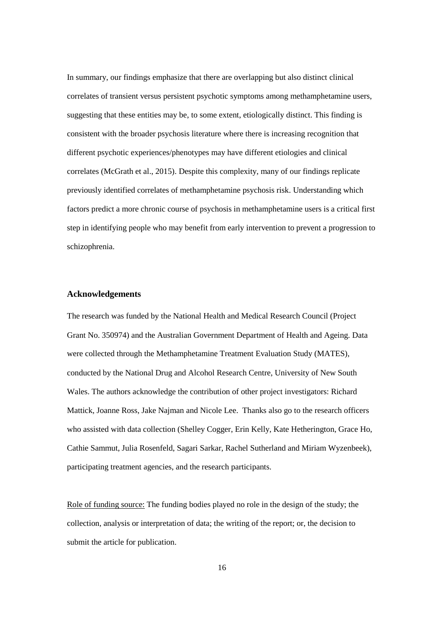In summary, our findings emphasize that there are overlapping but also distinct clinical correlates of transient versus persistent psychotic symptoms among methamphetamine users, suggesting that these entities may be, to some extent, etiologically distinct. This finding is consistent with the broader psychosis literature where there is increasing recognition that different psychotic experiences/phenotypes may have different etiologies and clinical correlates (McGrath et al., 2015). Despite this complexity, many of our findings replicate previously identified correlates of methamphetamine psychosis risk. Understanding which factors predict a more chronic course of psychosis in methamphetamine users is a critical first step in identifying people who may benefit from early intervention to prevent a progression to schizophrenia.

### **Acknowledgements**

The research was funded by the National Health and Medical Research Council (Project Grant No. 350974) and the Australian Government Department of Health and Ageing. Data were collected through the Methamphetamine Treatment Evaluation Study (MATES), conducted by the National Drug and Alcohol Research Centre, University of New South Wales. The authors acknowledge the contribution of other project investigators: Richard Mattick, Joanne Ross, Jake Najman and Nicole Lee. Thanks also go to the research officers who assisted with data collection (Shelley Cogger, Erin Kelly, Kate Hetherington, Grace Ho, Cathie Sammut, Julia Rosenfeld, Sagari Sarkar, Rachel Sutherland and Miriam Wyzenbeek), participating treatment agencies, and the research participants.

Role of funding source: The funding bodies played no role in the design of the study; the collection, analysis or interpretation of data; the writing of the report; or, the decision to submit the article for publication.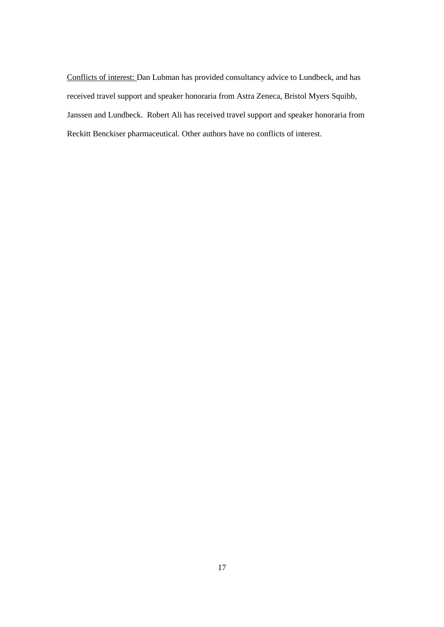Conflicts of interest: Dan Lubman has provided consultancy advice to Lundbeck, and has received travel support and speaker honoraria from Astra Zeneca, Bristol Myers Squibb, Janssen and Lundbeck. Robert Ali has received travel support and speaker honoraria from Reckitt Benckiser pharmaceutical. Other authors have no conflicts of interest.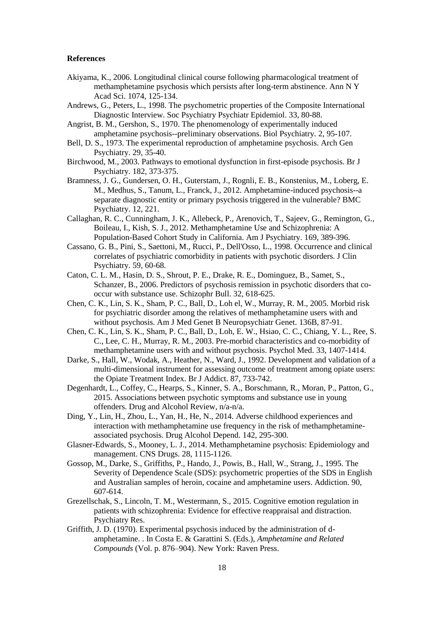#### **References**

- Akiyama, K., 2006. Longitudinal clinical course following pharmacological treatment of methamphetamine psychosis which persists after long-term abstinence. Ann N Y Acad Sci. 1074, 125-134.
- Andrews, G., Peters, L., 1998. The psychometric properties of the Composite International Diagnostic Interview. Soc Psychiatry Psychiatr Epidemiol. 33, 80-88.
- Angrist, B. M., Gershon, S., 1970. The phenomenology of experimentally induced amphetamine psychosis--preliminary observations. Biol Psychiatry. 2, 95-107.
- Bell, D. S., 1973. The experimental reproduction of amphetamine psychosis. Arch Gen Psychiatry. 29, 35-40.
- Birchwood, M., 2003. Pathways to emotional dysfunction in first-episode psychosis. Br J Psychiatry. 182, 373-375.
- Bramness, J. G., Gundersen, O. H., Guterstam, J., Rognli, E. B., Konstenius, M., Loberg, E. M., Medhus, S., Tanum, L., Franck, J., 2012. Amphetamine-induced psychosis--a separate diagnostic entity or primary psychosis triggered in the vulnerable? BMC Psychiatry. 12, 221.
- Callaghan, R. C., Cunningham, J. K., Allebeck, P., Arenovich, T., Sajeev, G., Remington, G., Boileau, I., Kish, S. J., 2012. Methamphetamine Use and Schizophrenia: A Population-Based Cohort Study in California. Am J Psychiatry. 169, 389-396.
- Cassano, G. B., Pini, S., Saettoni, M., Rucci, P., Dell'Osso, L., 1998. Occurrence and clinical correlates of psychiatric comorbidity in patients with psychotic disorders. J Clin Psychiatry. 59, 60-68.
- Caton, C. L. M., Hasin, D. S., Shrout, P. E., Drake, R. E., Dominguez, B., Samet, S., Schanzer, B., 2006. Predictors of psychosis remission in psychotic disorders that cooccur with substance use. Schizophr Bull. 32, 618-625.
- Chen, C. K., Lin, S. K., Sham, P. C., Ball, D., Loh el, W., Murray, R. M., 2005. Morbid risk for psychiatric disorder among the relatives of methamphetamine users with and without psychosis. Am J Med Genet B Neuropsychiatr Genet. 136B, 87-91.
- Chen, C. K., Lin, S. K., Sham, P. C., Ball, D., Loh, E. W., Hsiao, C. C., Chiang, Y. L., Ree, S. C., Lee, C. H., Murray, R. M., 2003. Pre-morbid characteristics and co-morbidity of methamphetamine users with and without psychosis. Psychol Med. 33, 1407-1414.
- Darke, S., Hall, W., Wodak, A., Heather, N., Ward, J., 1992. Development and validation of a multi-dimensional instrument for assessing outcome of treatment among opiate users: the Opiate Treatment Index. Br J Addict. 87, 733-742.
- Degenhardt, L., Coffey, C., Hearps, S., Kinner, S. A., Borschmann, R., Moran, P., Patton, G., 2015. Associations between psychotic symptoms and substance use in young offenders. Drug and Alcohol Review, n/a-n/a.
- Ding, Y., Lin, H., Zhou, L., Yan, H., He, N., 2014. Adverse childhood experiences and interaction with methamphetamine use frequency in the risk of methamphetamineassociated psychosis. Drug Alcohol Depend. 142, 295-300.
- Glasner-Edwards, S., Mooney, L. J., 2014. Methamphetamine psychosis: Epidemiology and management. CNS Drugs. 28, 1115-1126.
- Gossop, M., Darke, S., Griffiths, P., Hando, J., Powis, B., Hall, W., Strang, J., 1995. The Severity of Dependence Scale (SDS): psychometric properties of the SDS in English and Australian samples of heroin, cocaine and amphetamine users. Addiction. 90, 607-614.
- Grezellschak, S., Lincoln, T. M., Westermann, S., 2015. Cognitive emotion regulation in patients with schizophrenia: Evidence for effective reappraisal and distraction. Psychiatry Res.
- Griffith, J. D. (1970). Experimental psychosis induced by the administration of damphetamine. . In Costa E. & Garattini S. (Eds.), *Amphetamine and Related Compounds* (Vol. p. 876–904). New York: Raven Press.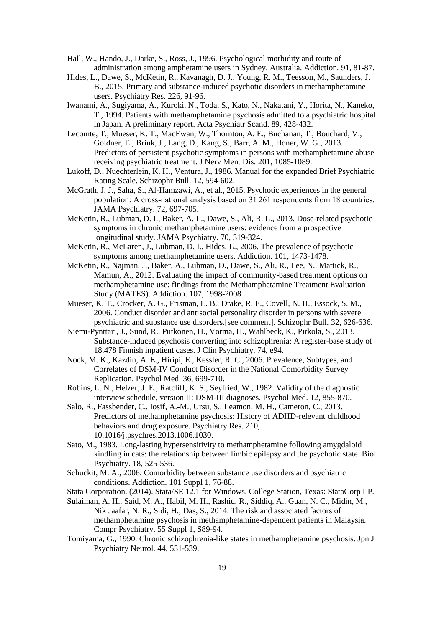- Hall, W., Hando, J., Darke, S., Ross, J., 1996. Psychological morbidity and route of administration among amphetamine users in Sydney, Australia. Addiction. 91, 81-87.
- Hides, L., Dawe, S., McKetin, R., Kavanagh, D. J., Young, R. M., Teesson, M., Saunders, J. B., 2015. Primary and substance-induced psychotic disorders in methamphetamine users. Psychiatry Res. 226, 91-96.
- Iwanami, A., Sugiyama, A., Kuroki, N., Toda, S., Kato, N., Nakatani, Y., Horita, N., Kaneko, T., 1994. Patients with methamphetamine psychosis admitted to a psychiatric hospital in Japan. A preliminary report. Acta Psychiatr Scand. 89, 428-432.
- Lecomte, T., Mueser, K. T., MacEwan, W., Thornton, A. E., Buchanan, T., Bouchard, V., Goldner, E., Brink, J., Lang, D., Kang, S., Barr, A. M., Honer, W. G., 2013. Predictors of persistent psychotic symptoms in persons with methamphetamine abuse receiving psychiatric treatment. J Nerv Ment Dis. 201, 1085-1089.
- Lukoff, D., Nuechterlein, K. H., Ventura, J., 1986. Manual for the expanded Brief Psychiatric Rating Scale. Schizophr Bull. 12, 594-602.
- McGrath, J. J., Saha, S., Al-Hamzawi, A., et al., 2015. Psychotic experiences in the general population: A cross-national analysis based on 31 261 respondents from 18 countries. JAMA Psychiatry. 72, 697-705.
- McKetin, R., Lubman, D. I., Baker, A. L., Dawe, S., Ali, R. L., 2013. Dose-related psychotic symptoms in chronic methamphetamine users: evidence from a prospective longitudinal study. JAMA Psychiatry. 70, 319-324.
- McKetin, R., McLaren, J., Lubman, D. I., Hides, L., 2006. The prevalence of psychotic symptoms among methamphetamine users. Addiction. 101, 1473-1478.
- McKetin, R., Najman, J., Baker, A., Lubman, D., Dawe, S., Ali, R., Lee, N., Mattick, R., Mamun, A., 2012. Evaluating the impact of community-based treatment options on methamphetamine use: findings from the Methamphetamine Treatment Evaluation Study (MATES). Addiction. 107, 1998-2008
- Mueser, K. T., Crocker, A. G., Frisman, L. B., Drake, R. E., Covell, N. H., Essock, S. M., 2006. Conduct disorder and antisocial personality disorder in persons with severe psychiatric and substance use disorders.[see comment]. Schizophr Bull. 32, 626-636.
- Niemi-Pynttari, J., Sund, R., Putkonen, H., Vorma, H., Wahlbeck, K., Pirkola, S., 2013. Substance-induced psychosis converting into schizophrenia: A register-base study of 18,478 Finnish inpatient cases. J Clin Psychiatry. 74, e94.
- Nock, M. K., Kazdin, A. E., Hiripi, E., Kessler, R. C., 2006. Prevalence, Subtypes, and Correlates of DSM-IV Conduct Disorder in the National Comorbidity Survey Replication. Psychol Med. 36, 699-710.
- Robins, L. N., Helzer, J. E., Ratcliff, K. S., Seyfried, W., 1982. Validity of the diagnostic interview schedule, version II: DSM-III diagnoses. Psychol Med. 12, 855-870.
- Salo, R., Fassbender, C., Iosif, A.-M., Ursu, S., Leamon, M. H., Cameron, C., 2013. Predictors of methamphetamine psychosis: History of ADHD-relevant childhood behaviors and drug exposure. Psychiatry Res. 210, 10.1016/j.psychres.2013.1006.1030.
- Sato, M., 1983. Long-lasting hypersensitivity to methamphetamine following amygdaloid kindling in cats: the relationship between limbic epilepsy and the psychotic state. Biol Psychiatry. 18, 525-536.
- Schuckit, M. A., 2006. Comorbidity between substance use disorders and psychiatric conditions. Addiction. 101 Suppl 1, 76-88.
- Stata Corporation. (2014). Stata/SE 12.1 for Windows. College Station, Texas: StataCorp LP.
- Sulaiman, A. H., Said, M. A., Habil, M. H., Rashid, R., Siddiq, A., Guan, N. C., Midin, M., Nik Jaafar, N. R., Sidi, H., Das, S., 2014. The risk and associated factors of methamphetamine psychosis in methamphetamine-dependent patients in Malaysia. Compr Psychiatry. 55 Suppl 1, S89-94.
- Tomiyama, G., 1990. Chronic schizophrenia-like states in methamphetamine psychosis. Jpn J Psychiatry Neurol. 44, 531-539.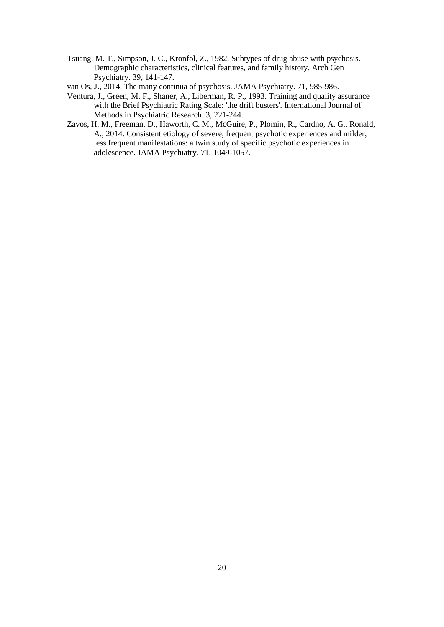- Tsuang, M. T., Simpson, J. C., Kronfol, Z., 1982. Subtypes of drug abuse with psychosis. Demographic characteristics, clinical features, and family history. Arch Gen Psychiatry. 39, 141-147.
- van Os, J., 2014. The many continua of psychosis. JAMA Psychiatry. 71, 985-986.
- Ventura, J., Green, M. F., Shaner, A., Liberman, R. P., 1993. Training and quality assurance with the Brief Psychiatric Rating Scale: 'the drift busters'. International Journal of Methods in Psychiatric Research. 3, 221-244.
- Zavos, H. M., Freeman, D., Haworth, C. M., McGuire, P., Plomin, R., Cardno, A. G., Ronald, A., 2014. Consistent etiology of severe, frequent psychotic experiences and milder, less frequent manifestations: a twin study of specific psychotic experiences in adolescence. JAMA Psychiatry. 71, 1049-1057.